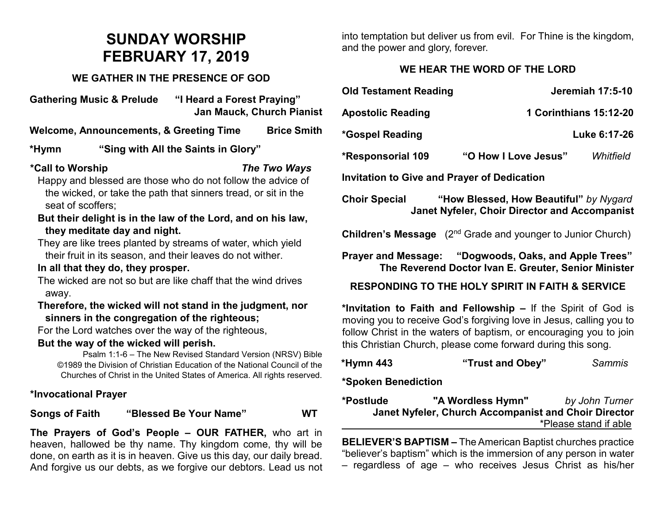# **SUNDAY WORSHIP FEBRUARY 17, 2019**

#### **WE GATHER IN THE PRESENCE OF GOD**

**Gathering Music & Prelude "I Heard a Forest Praying" Jan Mauck, Church Pianist**

**Welcome, Announcements, & Greeting Time Brice Smith**

### **\*Hymn "Sing with All the Saints in Glory"**

#### **\*Call to Worship** *The Two Ways*

- Happy and blessed are those who do not follow the advice of the wicked, or take the path that sinners tread, or sit in the seat of scoffers;
- **But their delight is in the law of the Lord, and on his law, they meditate day and night.**
- They are like trees planted by streams of water, which yield their fruit in its season, and their leaves do not wither.

#### **In all that they do, they prosper.**

The wicked are not so but are like chaff that the wind drives away.

#### **Therefore, the wicked will not stand in the judgment, nor sinners in the congregation of the righteous;**

For the Lord watches over the way of the righteous,

#### **But the way of the wicked will perish.**

Psalm 1:1-6 – The New Revised Standard Version (NRSV) Bible ©1989 the Division of Christian Education of the National Council of the Churches of Christ in the United States of America. All rights reserved.

#### **\*Invocational Prayer**

**Songs of Faith "Blessed Be Your Name" WT**

**The Prayers of God's People – OUR FATHER,** who art in heaven, hallowed be thy name. Thy kingdom come, thy will be done, on earth as it is in heaven. Give us this day, our daily bread. And forgive us our debts, as we forgive our debtors. Lead us not into temptation but deliver us from evil. For Thine is the kingdom, and the power and glory, forever.

## **WE HEAR THE WORD OF THE LORD**

| <b>Old Testament Reading</b>                       |                      | <b>Jeremiah 17:5-10</b>       |  |
|----------------------------------------------------|----------------------|-------------------------------|--|
| <b>Apostolic Reading</b>                           |                      | <b>1 Corinthians 15:12-20</b> |  |
| *Gospel Reading                                    |                      | Luke 6:17-26                  |  |
| <b>*Responsorial 109</b>                           | "O How I Love Jesus" | Whitfield                     |  |
| <b>Invitation to Give and Prayer of Dedication</b> |                      |                               |  |

**Choir Special "How Blessed, How Beautiful"** *by Nygard* **Janet Nyfeler, Choir Director and Accompanist**

**Children's Message** (2<sup>nd</sup> Grade and younger to Junior Church)

**Prayer and Message: "Dogwoods, Oaks, and Apple Trees" The Reverend Doctor Ivan E. Greuter, Senior Minister**

**RESPONDING TO THE HOLY SPIRIT IN FAITH & SERVICE**

**\*Invitation to Faith and Fellowship –** If the Spirit of God is moving you to receive God's forgiving love in Jesus, calling you to follow Christ in the waters of baptism, or encouraging you to join this Christian Church, please come forward during this song.

| *Hymn 443 | "Trust and Obey" | Sammis |
|-----------|------------------|--------|
|-----------|------------------|--------|

#### **\*Spoken Benediction**

**\*Postlude "A Wordless Hymn"** *by John Turner* **Janet Nyfeler, Church Accompanist and Choir Director** \*Please stand if able

**BELIEVER'S BAPTISM –** The American Baptist churches practice "believer's baptism" which is the immersion of any person in water – regardless of age – who receives Jesus Christ as his/her